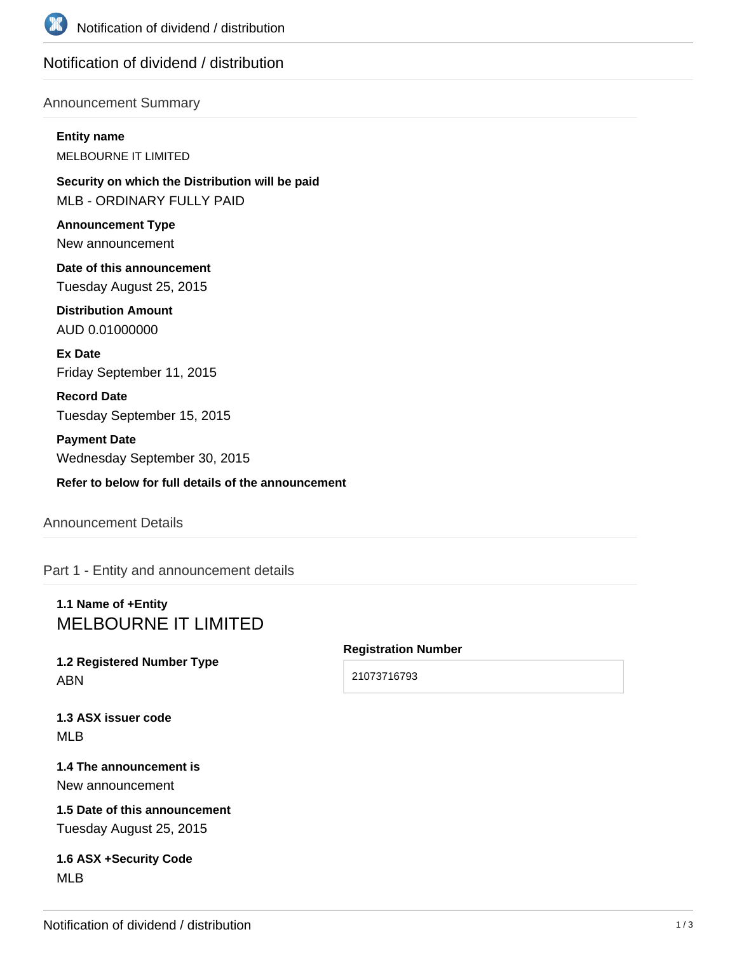

# Notification of dividend / distribution

### Announcement Summary

**Entity name** MELBOURNE IT LIMITED

**Security on which the Distribution will be paid** MLB - ORDINARY FULLY PAID

**Announcement Type** New announcement

**Date of this announcement** Tuesday August 25, 2015

**Distribution Amount** AUD 0.01000000

**Ex Date** Friday September 11, 2015

**Record Date** Tuesday September 15, 2015

**Payment Date** Wednesday September 30, 2015

**Refer to below for full details of the announcement**

Announcement Details

Part 1 - Entity and announcement details

# **1.1 Name of +Entity** MELBOURNE IT LIMITED

**1.2 Registered Number Type** ABN

#### **Registration Number**

21073716793

**1.3 ASX issuer code** MLB

**1.4 The announcement is** New announcement

**1.5 Date of this announcement** Tuesday August 25, 2015

**1.6 ASX +Security Code** MLB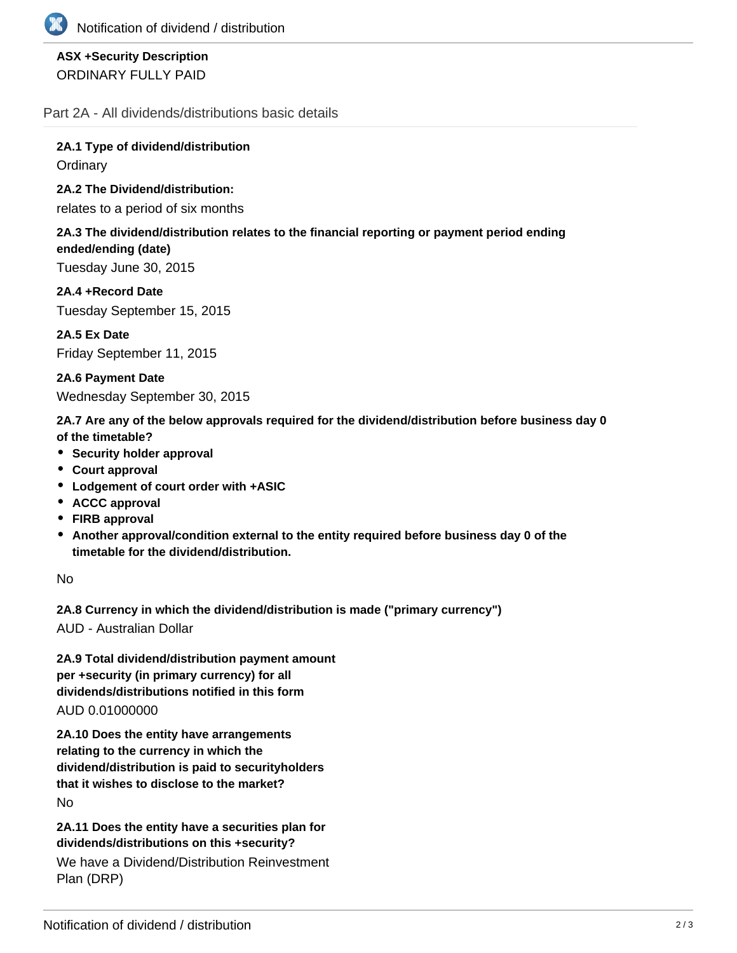

## **ASX +Security Description** ORDINARY FULLY PAID

Part 2A - All dividends/distributions basic details

**2A.1 Type of dividend/distribution Ordinary** 

**2A.2 The Dividend/distribution:**

relates to a period of six months

### **2A.3 The dividend/distribution relates to the financial reporting or payment period ending ended/ending (date)**

Tuesday June 30, 2015

**2A.4 +Record Date** Tuesday September 15, 2015

**2A.5 Ex Date** Friday September 11, 2015

**2A.6 Payment Date** Wednesday September 30, 2015

**2A.7 Are any of the below approvals required for the dividend/distribution before business day 0 of the timetable?**

- **•** Security holder approval
- **Court approval**
- **Lodgement of court order with +ASIC**
- **ACCC approval**
- **FIRB approval**
- **Another approval/condition external to the entity required before business day 0 of the timetable for the dividend/distribution.**

No

**2A.8 Currency in which the dividend/distribution is made ("primary currency")**

AUD - Australian Dollar

**2A.9 Total dividend/distribution payment amount per +security (in primary currency) for all dividends/distributions notified in this form** AUD 0.01000000

**2A.10 Does the entity have arrangements relating to the currency in which the dividend/distribution is paid to securityholders that it wishes to disclose to the market?** No

**2A.11 Does the entity have a securities plan for dividends/distributions on this +security?**

We have a Dividend/Distribution Reinvestment Plan (DRP)